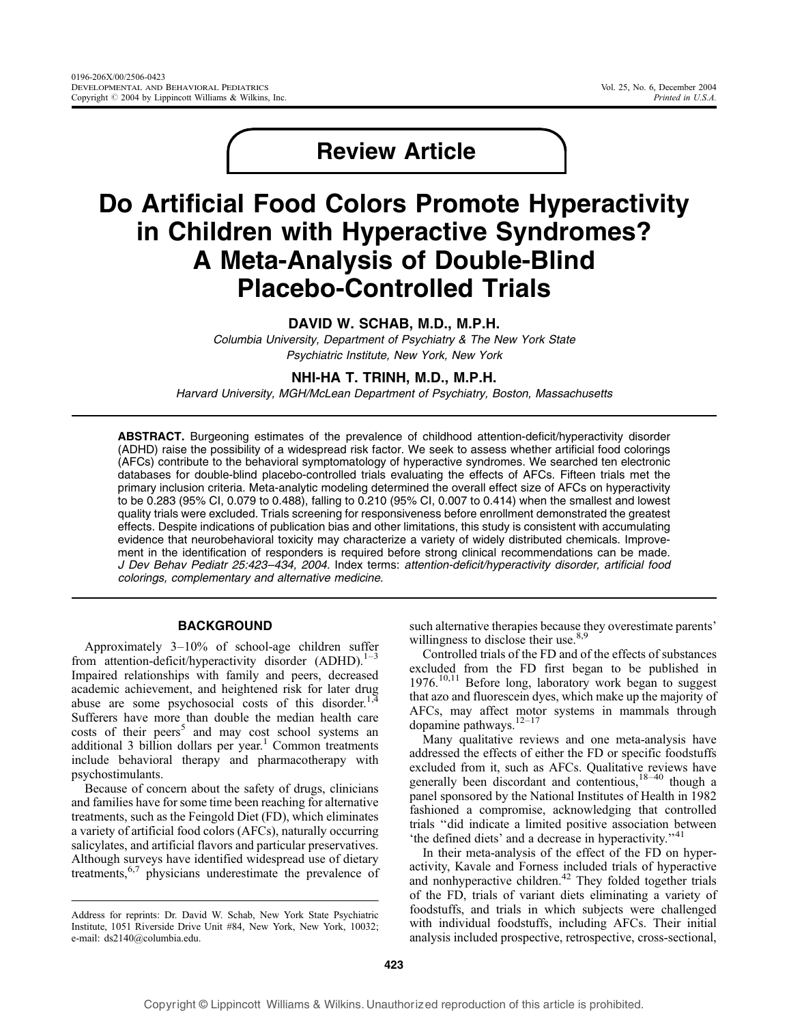## Review Article

# Do Artificial Food Colors Promote Hyperactivity in Children with Hyperactive Syndromes? A Meta-Analysis of Double-Blind Placebo-Controlled Trials

### DAVID W. SCHAB, M.D., M.P.H.

Columbia University, Department of Psychiatry & The New York State Psychiatric Institute, New York, New York

### NHI-HA T. TRINH, M.D., M.P.H.

Harvard University, MGH/McLean Department of Psychiatry, Boston, Massachusetts

ABSTRACT. Burgeoning estimates of the prevalence of childhood attention-deficit/hyperactivity disorder (ADHD) raise the possibility of a widespread risk factor. We seek to assess whether artificial food colorings (AFCs) contribute to the behavioral symptomatology of hyperactive syndromes. We searched ten electronic databases for double-blind placebo-controlled trials evaluating the effects of AFCs. Fifteen trials met the primary inclusion criteria. Meta-analytic modeling determined the overall effect size of AFCs on hyperactivity to be 0.283 (95% CI, 0.079 to 0.488), falling to 0.210 (95% CI, 0.007 to 0.414) when the smallest and lowest quality trials were excluded. Trials screening for responsiveness before enrollment demonstrated the greatest effects. Despite indications of publication bias and other limitations, this study is consistent with accumulating evidence that neurobehavioral toxicity may characterize a variety of widely distributed chemicals. Improvement in the identification of responders is required before strong clinical recommendations can be made. J Dev Behav Pediatr 25:423–434, 2004. Index terms: attention-deficit/hyperactivity disorder, artificial food colorings, complementary and alternative medicine.

#### BACKGROUND

Approximately 3–10% of school-age children suffer from attention-deficit/hyperactivity disorder  $(ADHD)$ .<sup>1–3</sup> Impaired relationships with family and peers, decreased academic achievement, and heightened risk for later drug abuse are some psychosocial costs of this disorder.<sup>1,4</sup> Sufferers have more than double the median health care costs of their peers<sup>5</sup> and may cost school systems an additional 3 billion dollars per year.<sup>1</sup> Common treatments include behavioral therapy and pharmacotherapy with psychostimulants.

Because of concern about the safety of drugs, clinicians and families have for some time been reaching for alternative treatments, such as the Feingold Diet (FD), which eliminates a variety of artificial food colors (AFCs), naturally occurring salicylates, and artificial flavors and particular preservatives. Although surveys have identified widespread use of dietary treatments,<sup>6,7</sup> physicians underestimate the prevalence of such alternative therapies because they overestimate parents' willingness to disclose their use. $8.9$ 

Controlled trials of the FD and of the effects of substances excluded from the FD first began to be published in 1976.<sup>10,11</sup> Before long, laboratory work began to suggest that azo and fluorescein dyes, which make up the majority of AFCs, may affect motor systems in mammals through dopamine pathways.<sup>1</sup>

Many qualitative reviews and one meta-analysis have addressed the effects of either the FD or specific foodstuffs excluded from it, such as AFCs. Qualitative reviews have generally been discordant and contentious,18–40 though a panel sponsored by the National Institutes of Health in 1982 fashioned a compromise, acknowledging that controlled trials ''did indicate a limited positive association between 'the defined diets' and a decrease in hyperactivity."<sup>41</sup>

In their meta-analysis of the effect of the FD on hyperactivity, Kavale and Forness included trials of hyperactive and nonhyperactive children.<sup>42</sup> They folded together trials of the FD, trials of variant diets eliminating a variety of foodstuffs, and trials in which subjects were challenged with individual foodstuffs, including AFCs. Their initial analysis included prospective, retrospective, cross-sectional,

Address for reprints: Dr. David W. Schab, New York State Psychiatric Institute, 1051 Riverside Drive Unit #84, New York, New York, 10032; e-mail: ds2140@columbia.edu.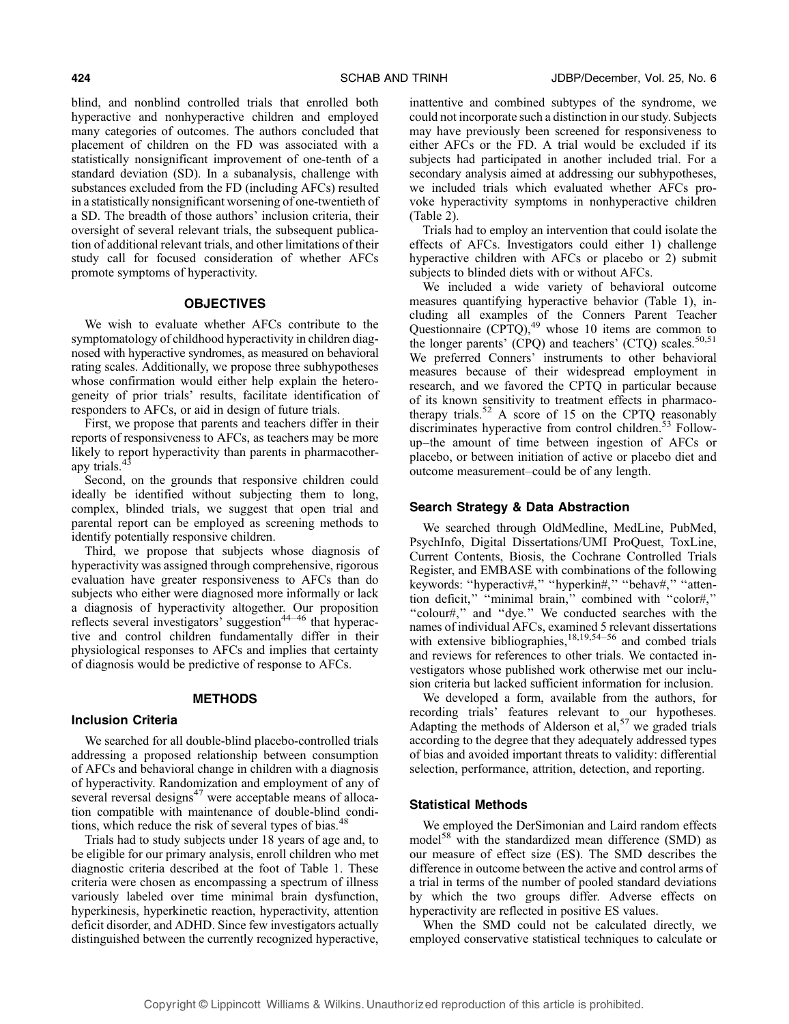blind, and nonblind controlled trials that enrolled both hyperactive and nonhyperactive children and employed many categories of outcomes. The authors concluded that placement of children on the FD was associated with a statistically nonsignificant improvement of one-tenth of a standard deviation (SD). In a subanalysis, challenge with substances excluded from the FD (including AFCs) resulted in a statistically nonsignificant worsening of one-twentieth of a SD. The breadth of those authors' inclusion criteria, their oversight of several relevant trials, the subsequent publication of additional relevant trials, and other limitations of their study call for focused consideration of whether AFCs promote symptoms of hyperactivity.

#### **OBJECTIVES**

We wish to evaluate whether AFCs contribute to the symptomatology of childhood hyperactivity in children diagnosed with hyperactive syndromes, as measured on behavioral rating scales. Additionally, we propose three subhypotheses whose confirmation would either help explain the heterogeneity of prior trials' results, facilitate identification of responders to AFCs, or aid in design of future trials.

First, we propose that parents and teachers differ in their reports of responsiveness to AFCs, as teachers may be more likely to report hyperactivity than parents in pharmacotherapy trials.<sup>43</sup>

Second, on the grounds that responsive children could ideally be identified without subjecting them to long, complex, blinded trials, we suggest that open trial and parental report can be employed as screening methods to identify potentially responsive children.

Third, we propose that subjects whose diagnosis of hyperactivity was assigned through comprehensive, rigorous evaluation have greater responsiveness to AFCs than do subjects who either were diagnosed more informally or lack a diagnosis of hyperactivity altogether. Our proposition reflects several investigators<sup>3</sup> suggestion<sup>44-46</sup> that hyperactive and control children fundamentally differ in their physiological responses to AFCs and implies that certainty of diagnosis would be predictive of response to AFCs.

#### METHODS

#### Inclusion Criteria

We searched for all double-blind placebo-controlled trials addressing a proposed relationship between consumption of AFCs and behavioral change in children with a diagnosis of hyperactivity. Randomization and employment of any of several reversal designs $47$  were acceptable means of allocation compatible with maintenance of double-blind conditions, which reduce the risk of several types of bias.<sup>4</sup>

Trials had to study subjects under 18 years of age and, to be eligible for our primary analysis, enroll children who met diagnostic criteria described at the foot of Table 1. These criteria were chosen as encompassing a spectrum of illness variously labeled over time minimal brain dysfunction, hyperkinesis, hyperkinetic reaction, hyperactivity, attention deficit disorder, and ADHD. Since few investigators actually distinguished between the currently recognized hyperactive,

inattentive and combined subtypes of the syndrome, we could not incorporate such a distinction in our study. Subjects may have previously been screened for responsiveness to either AFCs or the FD. A trial would be excluded if its subjects had participated in another included trial. For a secondary analysis aimed at addressing our subhypotheses, we included trials which evaluated whether AFCs provoke hyperactivity symptoms in nonhyperactive children (Table 2).

Trials had to employ an intervention that could isolate the effects of AFCs. Investigators could either 1) challenge hyperactive children with AFCs or placebo or 2) submit subjects to blinded diets with or without AFCs.

We included a wide variety of behavioral outcome measures quantifying hyperactive behavior (Table 1), including all examples of the Conners Parent Teacher Questionnaire  $(CPTQ)$ ,<sup>49</sup> whose 10 items are common to the longer parents' (CPQ) and teachers' (CTQ) scales. $50,51$ We preferred Conners' instruments to other behavioral measures because of their widespread employment in research, and we favored the CPTQ in particular because of its known sensitivity to treatment effects in pharmacotherapy trials.<sup>52</sup> A score of 15 on the CPTQ reasonably discriminates hyperactive from control children.<sup>53</sup> Followup–the amount of time between ingestion of AFCs or placebo, or between initiation of active or placebo diet and outcome measurement–could be of any length.

#### Search Strategy & Data Abstraction

We searched through OldMedline, MedLine, PubMed, PsychInfo, Digital Dissertations/UMI ProQuest, ToxLine, Current Contents, Biosis, the Cochrane Controlled Trials Register, and EMBASE with combinations of the following keywords: "hyperactiv#," "hyperkin#," "behav#," "attention deficit,'' ''minimal brain,'' combined with ''color#,'' "colour#," and "dye." We conducted searches with the names of individual AFCs, examined 5 relevant dissertations with extensive bibliographies,<sup>18,19,54–56</sup> and combed trials and reviews for references to other trials. We contacted investigators whose published work otherwise met our inclusion criteria but lacked sufficient information for inclusion.

We developed a form, available from the authors, for recording trials' features relevant to our hypotheses. Adapting the methods of Alderson et al,<sup>57</sup> we graded trials according to the degree that they adequately addressed types of bias and avoided important threats to validity: differential selection, performance, attrition, detection, and reporting.

#### Statistical Methods

We employed the DerSimonian and Laird random effects model<sup>58</sup> with the standardized mean difference (SMD) as our measure of effect size (ES). The SMD describes the difference in outcome between the active and control arms of a trial in terms of the number of pooled standard deviations by which the two groups differ. Adverse effects on hyperactivity are reflected in positive ES values.

When the SMD could not be calculated directly, we employed conservative statistical techniques to calculate or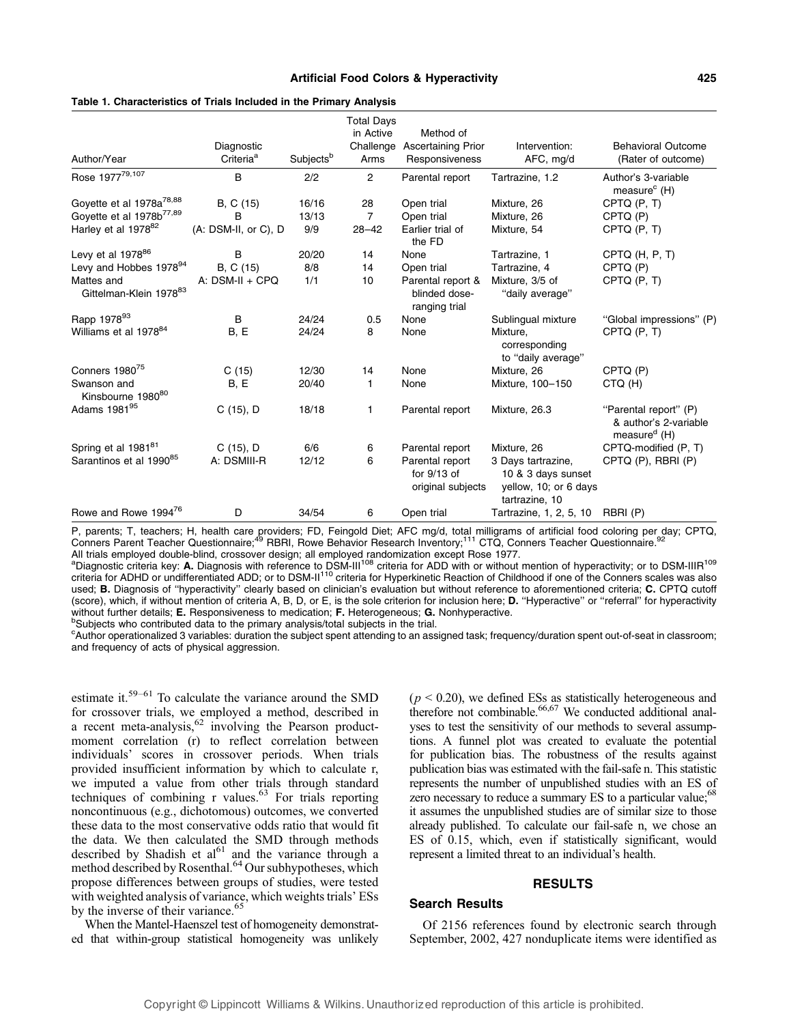| Author/Year                                  | Diagnostic<br>Criteria <sup>a</sup> | Subjects <sup>b</sup> | <b>Total Days</b><br>in Active<br>Challenge<br>Arms | Method of<br><b>Ascertaining Prior</b><br>Responsiveness | Intervention:<br>AFC, mg/d                                                          | <b>Behavioral Outcome</b><br>(Rater of outcome)                            |
|----------------------------------------------|-------------------------------------|-----------------------|-----------------------------------------------------|----------------------------------------------------------|-------------------------------------------------------------------------------------|----------------------------------------------------------------------------|
| Rose 1977 <sup>79,107</sup>                  | B                                   | 2/2                   | $\overline{2}$                                      | Parental report                                          | Tartrazine, 1.2                                                                     | Author's 3-variable<br>measure <sup>c</sup> (H)                            |
| Goyette et al 1978a <sup>78,88</sup>         | B, C (15)                           | 16/16                 | 28                                                  | Open trial                                               | Mixture, 26                                                                         | CPTQ (P, T)                                                                |
| Goyette et al 1978b <sup>77,89</sup>         | в                                   | 13/13                 | 7                                                   | Open trial                                               | Mixture, 26                                                                         | CPTQ (P)                                                                   |
| Harley et al 1978 <sup>82</sup>              | $(A: DSM-II, or C), D$              | 9/9                   | $28 - 42$                                           | Earlier trial of<br>the FD                               | Mixture, 54                                                                         | CPTQ (P, T)                                                                |
| Levy et al 1978 <sup>86</sup>                | в                                   | 20/20                 | 14                                                  | None                                                     | Tartrazine, 1                                                                       | CPTQ(H, P, T)                                                              |
| Levy and Hobbes 1978 <sup>94</sup>           | B, C (15)                           | 8/8                   | 14                                                  | Open trial                                               | Tartrazine, 4                                                                       | CPTQ (P)                                                                   |
| Mattes and<br>Gittelman-Klein 197883         | A: DSM-II + CPQ                     | 1/1                   | 10                                                  | Parental report &<br>blinded dose-<br>ranging trial      | Mixture, 3/5 of<br>"daily average"                                                  | CPTQ (P, T)                                                                |
| Rapp 1978 <sup>93</sup>                      | В                                   | 24/24                 | 0.5                                                 | None                                                     | Sublingual mixture                                                                  | "Global impressions" (P)                                                   |
| Williams et al 1978 <sup>84</sup>            | B, E                                | 24/24                 | 8                                                   | None                                                     | Mixture.<br>corresponding<br>to "daily average"                                     | CPTQ (P, T)                                                                |
| Conners 1980 <sup>75</sup>                   | C(15)                               | 12/30                 | 14                                                  | None                                                     | Mixture, 26                                                                         | CPTQ (P)                                                                   |
| Swanson and<br>Kinsbourne 1980 <sup>80</sup> | B, E                                | 20/40                 | 1                                                   | None                                                     | Mixture, 100-150                                                                    | CTQ (H)                                                                    |
| Adams 1981 <sup>95</sup>                     | $C(15)$ , D                         | 18/18                 | 1                                                   | Parental report                                          | Mixture, 26.3                                                                       | "Parental report" (P)<br>& author's 2-variable<br>measure <sup>d</sup> (H) |
| Spring et al 1981 <sup>81</sup>              | $C(15)$ , D                         | 6/6                   | 6                                                   | Parental report                                          | Mixture, 26                                                                         | CPTQ-modified (P, T)                                                       |
| Sarantinos et al 1990 <sup>85</sup>          | A: DSMIII-R                         | 12/12                 | 6                                                   | Parental report<br>for $9/13$ of<br>original subjects    | 3 Days tartrazine,<br>10 & 3 days sunset<br>yellow, 10; or 6 days<br>tartrazine, 10 | CPTQ (P), RBRI (P)                                                         |
| Rowe and Rowe 1994 <sup>76</sup>             | D                                   | 34/54                 | 6                                                   | Open trial                                               | Tartrazine, 1, 2, 5, 10 RBRI (P)                                                    |                                                                            |

|  | Table 1. Characteristics of Trials Included in the Primary Analysis |  |  |  |  |  |  |
|--|---------------------------------------------------------------------|--|--|--|--|--|--|
|--|---------------------------------------------------------------------|--|--|--|--|--|--|

P, parents; T, teachers; H, health care providers; FD, Feingold Diet; AFC mg/d, total milligrams of artificial food coloring per day; CPTQ,<br>Conners Parent Teacher Questionnaire;<sup>49</sup> RBRI, Rowe Behavior Research Inventory;<sup></sup>

All trials employed double-blind, crossover design; all employed randomization except Rose 1977.<br><sup>a</sup>Diagnostic criteria key: **A.** Diagnosis with reference to DSM-III<sup>108</sup> criteria for ADD with or without mention of hyperac criteria for ADHD or undifferentiated ADD; or to DSM-II<sup>110</sup> criteria for Hyperkinetic Reaction of Childhood if one of the Conners scales was also used; B. Diagnosis of ''hyperactivity'' clearly based on clinician's evaluation but without reference to aforementioned criteria; C. CPTQ cutoff (score), which, if without mention of criteria A, B, D, or E, is the sole criterion for inclusion here; D. ''Hyperactive'' or ''referral'' for hyperactivity without further details; E. Responsiveness to medication; F. Heterogeneous; G. Nonhyperactive.

<sup>b</sup>Subjects who contributed data to the primary analysis/total subjects in the trial.

c Author operationalized 3 variables: duration the subject spent attending to an assigned task; frequency/duration spent out-of-seat in classroom; and frequency of acts of physical aggression.

estimate it. $59-61$  To calculate the variance around the SMD for crossover trials, we employed a method, described in a recent meta-analysis,  $62$  involving the Pearson productmoment correlation (r) to reflect correlation between individuals' scores in crossover periods. When trials provided insufficient information by which to calculate r, we imputed a value from other trials through standard techniques of combining  $r$  values.<sup>63</sup> For trials reporting noncontinuous (e.g., dichotomous) outcomes, we converted these data to the most conservative odds ratio that would fit the data. We then calculated the SMD through methods described by Shadish et  $al^{61}$  and the variance through a method described by Rosenthal.<sup>64</sup> Our subhypotheses, which propose differences between groups of studies, were tested with weighted analysis of variance, which weights trials' ESs by the inverse of their variance.<sup>65</sup>

When the Mantel-Haenszel test of homogeneity demonstrated that within-group statistical homogeneity was unlikely  $(p < 0.20)$ , we defined ESs as statistically heterogeneous and therefore not combinable.<sup>66,67</sup> We conducted additional analyses to test the sensitivity of our methods to several assumptions. A funnel plot was created to evaluate the potential for publication bias. The robustness of the results against publication bias was estimated with the fail-safe n. This statistic represents the number of unpublished studies with an ES of zero necessary to reduce a summary ES to a particular value;<sup>68</sup> it assumes the unpublished studies are of similar size to those already published. To calculate our fail-safe n, we chose an ES of 0.15, which, even if statistically significant, would represent a limited threat to an individual's health.

#### RESULTS

#### Search Results

Of 2156 references found by electronic search through September, 2002, 427 nonduplicate items were identified as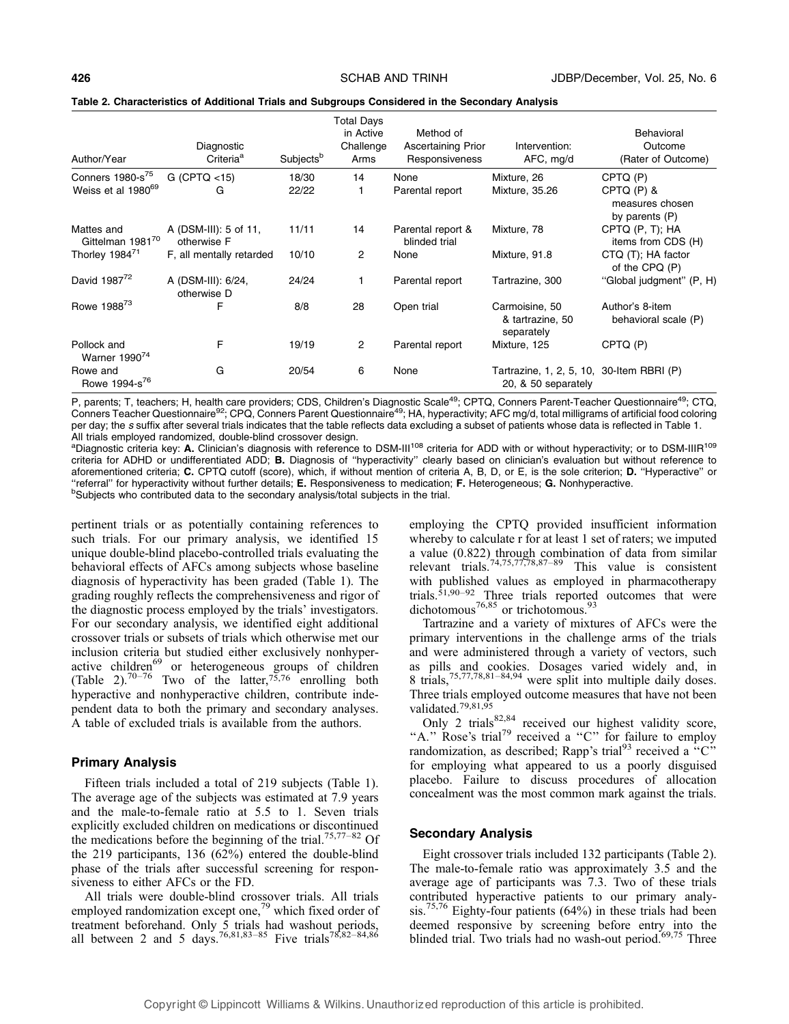| Author/Year                                | Diagnostic<br>Criteria <sup>a</sup>  | Subjects <sup>b</sup> | Total Days<br>in Active<br>Challenge<br>Arms | Method of<br><b>Ascertaining Prior</b><br>Responsiveness | Intervention:<br>AFC, mg/d                                       | Behavioral<br>Outcome<br>(Rater of Outcome)     |
|--------------------------------------------|--------------------------------------|-----------------------|----------------------------------------------|----------------------------------------------------------|------------------------------------------------------------------|-------------------------------------------------|
| Conners 1980-s <sup>75</sup>               | G (CPTQ $<$ 15)                      | 18/30                 | 14                                           | None                                                     | Mixture, 26                                                      | CPTQ (P)                                        |
| Weiss et al 1980 <sup>69</sup>             | G                                    | 22/22                 | 1                                            | Parental report                                          | Mixture, 35.26                                                   | CPTQ (P) &<br>measures chosen<br>by parents (P) |
| Mattes and<br>Gittelman 1981 <sup>70</sup> | A (DSM-III): 5 of 11,<br>otherwise F | 11/11                 | 14                                           | Parental report &<br>blinded trial                       | Mixture, 78                                                      | CPTQ (P, T); HA<br>items from CDS (H)           |
| Thorley 198471                             | F, all mentally retarded             | 10/10                 | 2                                            | None                                                     | Mixture, 91.8                                                    | CTQ (T); HA factor<br>of the CPQ (P)            |
| David 1987 <sup>72</sup>                   | A (DSM-III): 6/24,<br>otherwise D    | 24/24                 |                                              | Parental report                                          | Tartrazine, 300                                                  | "Global judgment" (P, H)                        |
| Rowe 1988 <sup>73</sup>                    | F                                    | 8/8                   | 28                                           | Open trial                                               | Carmoisine, 50<br>& tartrazine, 50<br>separately                 | Author's 8-item<br>behavioral scale (P)         |
| Pollock and<br>Warner 1990 <sup>74</sup>   | F                                    | 19/19                 | 2                                            | Parental report                                          | Mixture, 125                                                     | CPTQ (P)                                        |
| Rowe and<br>Rowe 1994-s <sup>76</sup>      | G                                    | 20/54                 | 6                                            | None                                                     | Tartrazine, 1, 2, 5, 10, 30-Item RBRI (P)<br>20, & 50 separately |                                                 |

|  | Table 2. Characteristics of Additional Trials and Subgroups Considered in the Secondary Analysis |  |
|--|--------------------------------------------------------------------------------------------------|--|
|  |                                                                                                  |  |

P, parents; T, teachers; H, health care providers; CDS, Children's Diagnostic Scale<sup>49</sup>; CPTQ, Conners Parent-Teacher Questionnaire<sup>49</sup>; CTQ, Conners Teacher Questionnaire<sup>92</sup>; CPQ, Conners Parent Questionnaire<sup>49</sup>; HA, hyperactivity; AFC mg/d, total milligrams of artificial food coloring per day; the s suffix after several trials indicates that the table reflects data excluding a subset of patients whose data is reflected in Table 1. All trials employed randomized, double-blind crossover design.

<sup>a</sup>Diagnostic criteria key: A. Clinician's diagnosis with reference to DSM-III<sup>108</sup> criteria for ADD with or without hyperactivity; or to DSM-IIIR<sup>109</sup> criteria for ADHD or undifferentiated ADD; B. Diagnosis of ''hyperactivity'' clearly based on clinician's evaluation but without reference to aforementioned criteria; C. CPTQ cutoff (score), which, if without mention of criteria A, B, D, or E, is the sole criterion; D. "Hyperactive" or "referral" for hyperactivity without further details; E. Responsiveness to medication; F. Heterogeneous; G. Nonhyperactive.<br>PSubionts who contributed data to the secondary analysis/total subjects in the trial <sup>b</sup>Subjects who contributed data to the secondary analysis/total subjects in the trial.

pertinent trials or as potentially containing references to such trials. For our primary analysis, we identified 15 unique double-blind placebo-controlled trials evaluating the behavioral effects of AFCs among subjects whose baseline diagnosis of hyperactivity has been graded (Table 1). The grading roughly reflects the comprehensiveness and rigor of the diagnostic process employed by the trials' investigators. For our secondary analysis, we identified eight additional crossover trials or subsets of trials which otherwise met our inclusion criteria but studied either exclusively nonhyperactive children<sup>69</sup> or heterogeneous groups of children (Table 2).<sup>70–76</sup> Two of the latter,<sup>75,76</sup> enrolling both hyperactive and nonhyperactive children, contribute independent data to both the primary and secondary analyses. A table of excluded trials is available from the authors.

### Primary Analysis

Fifteen trials included a total of 219 subjects (Table 1). The average age of the subjects was estimated at 7.9 years and the male-to-female ratio at 5.5 to 1. Seven trials explicitly excluded children on medications or discontinued the medications before the beginning of the trial.<sup>75,77–82</sup> Of the 219 participants, 136 (62%) entered the double-blind phase of the trials after successful screening for responsiveness to either AFCs or the FD.

All trials were double-blind crossover trials. All trials employed randomization except one,<sup>79</sup> which fixed order of treatment beforehand. Only 5 trials had washout periods, all between 2 and 5 days.<sup>76,81,83–85</sup> Five trials<sup>78,82–84,86</sup>

employing the CPTQ provided insufficient information whereby to calculate r for at least 1 set of raters; we imputed a value (0.822) through combination of data from similar relevant trials.<sup>74,75,77,78,87–89</sup> This value is consistent with published values as employed in pharmacotherapy trials. $51,90-92$  Three trials reported outcomes that were dichotomous<sup>76,85</sup> or trichotomous.<sup>9</sup>

Tartrazine and a variety of mixtures of AFCs were the primary interventions in the challenge arms of the trials and were administered through a variety of vectors, such as pills and cookies. Dosages varied widely and, in  $8 \text{ trials}, \frac{75,77,78,81-84,94}{75,77,78,81-84,94}$  were split into multiple daily doses. Three trials employed outcome measures that have not been validated.<sup>79,81,95</sup>

Only 2 trials $82,84$  received our highest validity score, "A." Rose's trial<sup>79</sup> received a "C" for failure to employ randomization, as described; Rapp's trial<sup>93</sup> received a  $^{11}$ C<sup>1</sup> for employing what appeared to us a poorly disguised placebo. Failure to discuss procedures of allocation concealment was the most common mark against the trials.

#### Secondary Analysis

Eight crossover trials included 132 participants (Table 2). The male-to-female ratio was approximately 3.5 and the average age of participants was 7.3. Two of these trials contributed hyperactive patients to our primary analysis.<sup>75,76</sup> Eighty-four patients  $(64%)$  in these trials had been deemed responsive by screening before entry into the blinded trial. Two trials had no wash-out period.<sup>69,75</sup> Three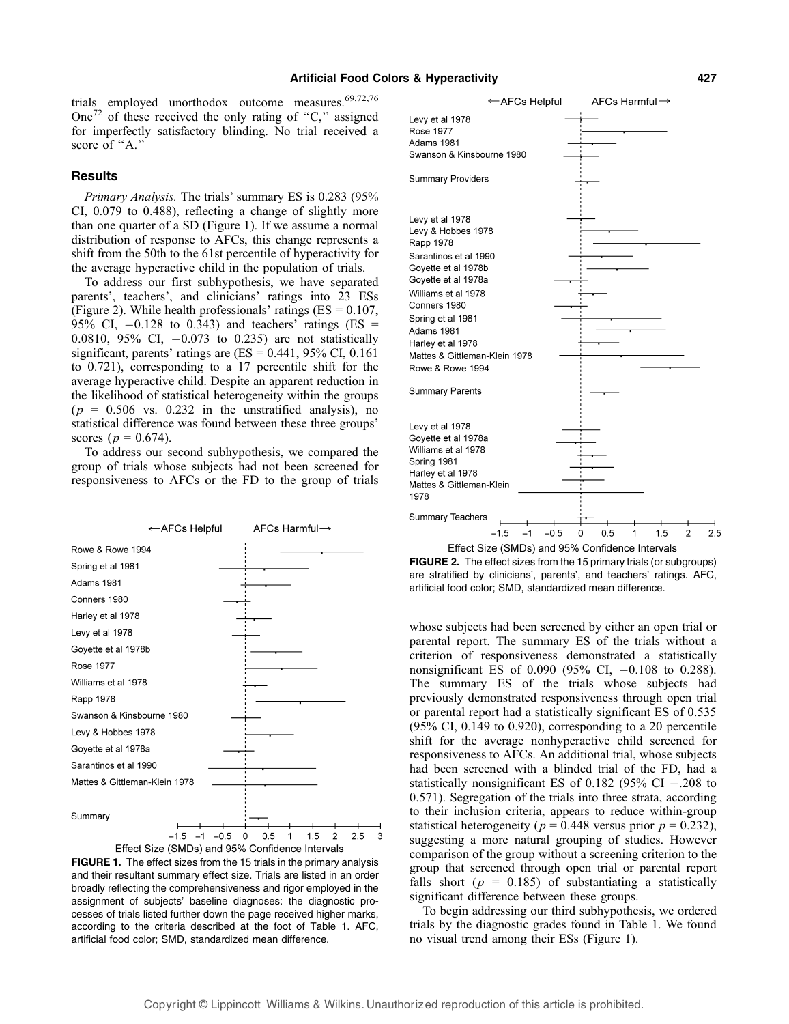trials employed unorthodox outcome measures.<sup>69,72,76</sup> One<sup>72</sup> of these received the only rating of "C," assigned for imperfectly satisfactory blinding. No trial received a score of "A."

#### **Results**

Primary Analysis. The trials' summary ES is 0.283 (95% CI, 0.079 to 0.488), reflecting a change of slightly more than one quarter of a SD (Figure 1). If we assume a normal distribution of response to AFCs, this change represents a shift from the 50th to the 61st percentile of hyperactivity for the average hyperactive child in the population of trials.

To address our first subhypothesis, we have separated parents', teachers', and clinicians' ratings into 23 ESs (Figure 2). While health professionals' ratings  $(ES = 0.107, ...)$ 95% CI,  $-0.128$  to 0.343) and teachers' ratings (ES = 0.0810, 95% CI,  $-0.073$  to 0.235) are not statistically significant, parents' ratings are  $(ES = 0.441, 95\% \text{ CI}, 0.161)$ to 0.721), corresponding to a 17 percentile shift for the average hyperactive child. Despite an apparent reduction in the likelihood of statistical heterogeneity within the groups  $(p = 0.506 \text{ vs. } 0.232 \text{ in the unstratified analysis})$ , no statistical difference was found between these three groups' scores ( $p = 0.674$ ).

To address our second subhypothesis, we compared the group of trials whose subjects had not been screened for responsiveness to AFCs or the FD to the group of trials



FIGURE 1. The effect sizes from the 15 trials in the primary analysis and their resultant summary effect size. Trials are listed in an order broadly reflecting the comprehensiveness and rigor employed in the assignment of subjects' baseline diagnoses: the diagnostic processes of trials listed further down the page received higher marks, according to the criteria described at the foot of Table 1. AFC, artificial food color; SMD, standardized mean difference.



FIGURE 2. The effect sizes from the 15 primary trials (or subgroups) are stratified by clinicians', parents', and teachers' ratings. AFC, artificial food color; SMD, standardized mean difference.

whose subjects had been screened by either an open trial or parental report. The summary ES of the trials without a criterion of responsiveness demonstrated a statistically nonsignificant ES of 0.090 (95% CI,  $-0.108$  to 0.288). The summary ES of the trials whose subjects had previously demonstrated responsiveness through open trial or parental report had a statistically significant ES of 0.535 (95% CI, 0.149 to 0.920), corresponding to a 20 percentile shift for the average nonhyperactive child screened for responsiveness to AFCs. An additional trial, whose subjects had been screened with a blinded trial of the FD, had a statistically nonsignificant ES of 0.182 (95% CI  $-.208$  to 0.571). Segregation of the trials into three strata, according to their inclusion criteria, appears to reduce within-group statistical heterogeneity ( $p = 0.448$  versus prior  $p = 0.232$ ), suggesting a more natural grouping of studies. However comparison of the group without a screening criterion to the group that screened through open trial or parental report falls short ( $p = 0.185$ ) of substantiating a statistically significant difference between these groups.

To begin addressing our third subhypothesis, we ordered trials by the diagnostic grades found in Table 1. We found no visual trend among their ESs (Figure 1).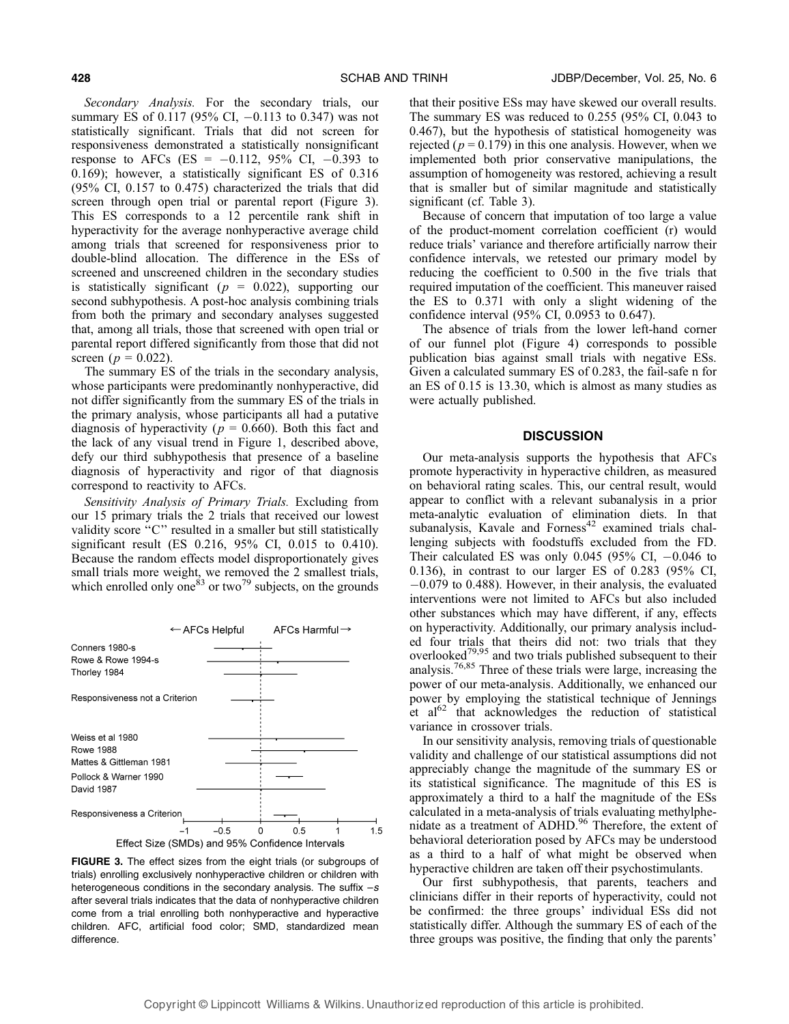Secondary Analysis. For the secondary trials, our summary ES of 0.117 (95% CI,  $-0.113$  to 0.347) was not statistically significant. Trials that did not screen for responsiveness demonstrated a statistically nonsignificant response to AFCs (ES =  $-0.112$ , 95% CI,  $-0.393$  to 0.169); however, a statistically significant ES of 0.316 (95% CI, 0.157 to 0.475) characterized the trials that did screen through open trial or parental report (Figure 3). This ES corresponds to a 12 percentile rank shift in hyperactivity for the average nonhyperactive average child among trials that screened for responsiveness prior to double-blind allocation. The difference in the ESs of screened and unscreened children in the secondary studies is statistically significant ( $p = 0.022$ ), supporting our second subhypothesis. A post-hoc analysis combining trials from both the primary and secondary analyses suggested that, among all trials, those that screened with open trial or parental report differed significantly from those that did not screen ( $p = 0.022$ ).

The summary ES of the trials in the secondary analysis, whose participants were predominantly nonhyperactive, did not differ significantly from the summary ES of the trials in the primary analysis, whose participants all had a putative diagnosis of hyperactivity ( $p = 0.660$ ). Both this fact and the lack of any visual trend in Figure 1, described above, defy our third subhypothesis that presence of a baseline diagnosis of hyperactivity and rigor of that diagnosis correspond to reactivity to AFCs.

Sensitivity Analysis of Primary Trials. Excluding from our 15 primary trials the 2 trials that received our lowest validity score "C" resulted in a smaller but still statistically significant result (ES 0.216, 95% CI, 0.015 to 0.410). Because the random effects model disproportionately gives small trials more weight, we removed the 2 smallest trials, which enrolled only one<sup>83</sup> or two<sup>79</sup> subjects, on the grounds



FIGURE 3. The effect sizes from the eight trials (or subgroups of trials) enrolling exclusively nonhyperactive children or children with heterogeneous conditions in the secondary analysis. The suffix  $-s$ after several trials indicates that the data of nonhyperactive children come from a trial enrolling both nonhyperactive and hyperactive children. AFC, artificial food color; SMD, standardized mean difference.

that their positive ESs may have skewed our overall results. The summary ES was reduced to 0.255 (95% CI, 0.043 to 0.467), but the hypothesis of statistical homogeneity was rejected ( $p = 0.179$ ) in this one analysis. However, when we implemented both prior conservative manipulations, the assumption of homogeneity was restored, achieving a result that is smaller but of similar magnitude and statistically significant (cf. Table 3).

Because of concern that imputation of too large a value of the product-moment correlation coefficient (r) would reduce trials' variance and therefore artificially narrow their confidence intervals, we retested our primary model by reducing the coefficient to 0.500 in the five trials that required imputation of the coefficient. This maneuver raised the ES to 0.371 with only a slight widening of the confidence interval (95% CI, 0.0953 to 0.647).

The absence of trials from the lower left-hand corner of our funnel plot (Figure 4) corresponds to possible publication bias against small trials with negative ESs. Given a calculated summary ES of 0.283, the fail-safe n for an ES of 0.15 is 13.30, which is almost as many studies as were actually published.

#### **DISCUSSION**

Our meta-analysis supports the hypothesis that AFCs promote hyperactivity in hyperactive children, as measured on behavioral rating scales. This, our central result, would appear to conflict with a relevant subanalysis in a prior meta-analytic evaluation of elimination diets. In that subanalysis, Kavale and Forness $42$  examined trials challenging subjects with foodstuffs excluded from the FD. Their calculated ES was only  $0.045$  (95% CI,  $-0.046$  to 0.136), in contrast to our larger ES of 0.283 (95% CI,  $-0.079$  to 0.488). However, in their analysis, the evaluated interventions were not limited to AFCs but also included other substances which may have different, if any, effects on hyperactivity. Additionally, our primary analysis included four trials that theirs did not: two trials that they overlooked<sup>79,95</sup> and two trials published subsequent to their analysis.<sup>76,85</sup> Three of these trials were large, increasing the power of our meta-analysis. Additionally, we enhanced our power by employing the statistical technique of Jennings et  $al<sup>62</sup>$  that acknowledges the reduction of statistical variance in crossover trials.

In our sensitivity analysis, removing trials of questionable validity and challenge of our statistical assumptions did not appreciably change the magnitude of the summary ES or its statistical significance. The magnitude of this ES is approximately a third to a half the magnitude of the ESs calculated in a meta-analysis of trials evaluating methylphenidate as a treatment of ADHD.<sup>96</sup> Therefore, the extent of behavioral deterioration posed by AFCs may be understood as a third to a half of what might be observed when hyperactive children are taken off their psychostimulants.

Our first subhypothesis, that parents, teachers and clinicians differ in their reports of hyperactivity, could not be confirmed: the three groups' individual ESs did not statistically differ. Although the summary ES of each of the three groups was positive, the finding that only the parents'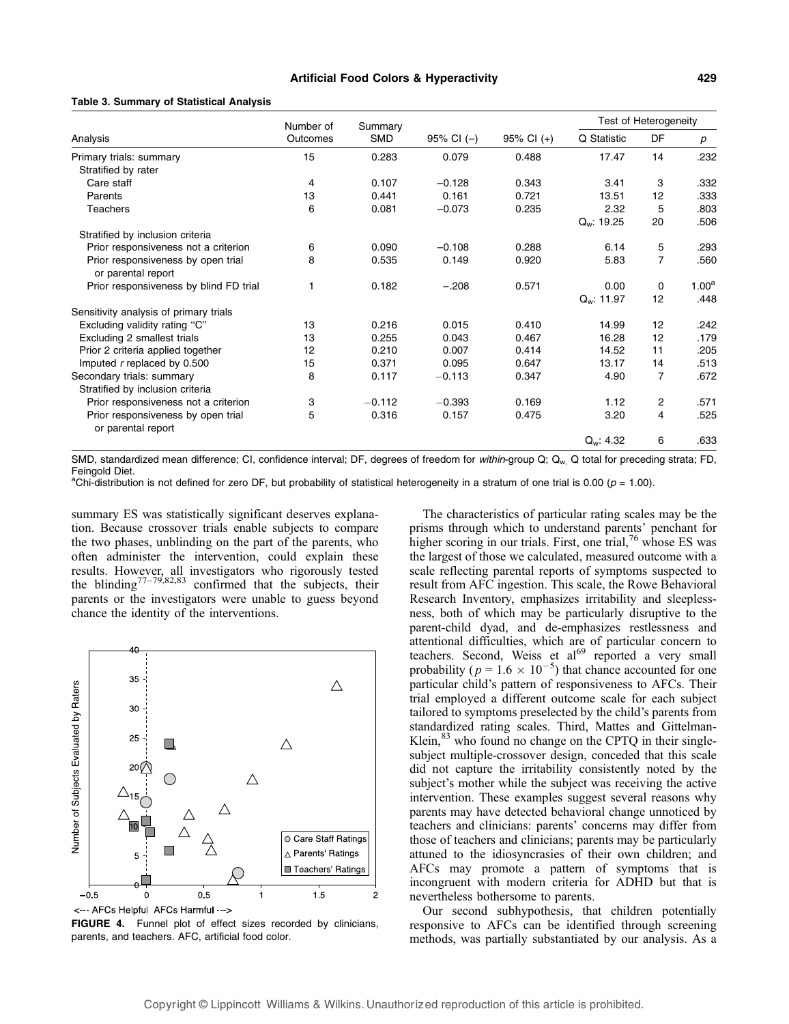#### Table 3. Summary of Statistical Analysis

|                                                          | Number of       | Summary<br><b>SMD</b> |              | $95\%$ Cl $(+)$ | Test of Heterogeneity |                |                   |
|----------------------------------------------------------|-----------------|-----------------------|--------------|-----------------|-----------------------|----------------|-------------------|
| Analysis                                                 | <b>Outcomes</b> |                       | 95% CI $(-)$ |                 | Q Statistic           | DF             | р                 |
| Primary trials: summary                                  | 15              | 0.283                 | 0.079        | 0.488           | 17.47                 | 14             | .232              |
| Stratified by rater                                      |                 |                       |              |                 |                       |                |                   |
| Care staff                                               | 4               | 0.107                 | $-0.128$     | 0.343           | 3.41                  | 3              | .332              |
| Parents                                                  | 13              | 0.441                 | 0.161        | 0.721           | 13.51                 | 12             | .333              |
| Teachers                                                 | 6               | 0.081                 | $-0.073$     | 0.235           | 2.32                  | 5              | .803              |
|                                                          |                 |                       |              |                 | $Q_w: 19.25$          | 20             | .506              |
| Stratified by inclusion criteria                         |                 |                       |              |                 |                       |                |                   |
| Prior responsiveness not a criterion                     | 6               | 0.090                 | $-0.108$     | 0.288           | 6.14                  | 5              | .293              |
| Prior responsiveness by open trial<br>or parental report | 8               | 0.535                 | 0.149        | 0.920           | 5.83                  | $\overline{7}$ | .560              |
| Prior responsiveness by blind FD trial                   | 1               | 0.182                 | $-.208$      | 0.571           | 0.00                  | 0              | 1.00 <sup>a</sup> |
|                                                          |                 |                       |              |                 | $Q_w: 11.97$          | 12             | .448              |
| Sensitivity analysis of primary trials                   |                 |                       |              |                 |                       |                |                   |
| Excluding validity rating "C"                            | 13              | 0.216                 | 0.015        | 0.410           | 14.99                 | 12             | .242              |
| Excluding 2 smallest trials                              | 13              | 0.255                 | 0.043        | 0.467           | 16.28                 | 12             | .179              |
| Prior 2 criteria applied together                        | 12              | 0.210                 | 0.007        | 0.414           | 14.52                 | 11             | .205              |
| Imputed r replaced by 0.500                              | 15              | 0.371                 | 0.095        | 0.647           | 13.17                 | 14             | .513              |
| Secondary trials: summary                                | 8               | 0.117                 | $-0.113$     | 0.347           | 4.90                  | 7              | .672              |
| Stratified by inclusion criteria                         |                 |                       |              |                 |                       |                |                   |
| Prior responsiveness not a criterion                     | 3               | $-0.112$              | $-0.393$     | 0.169           | 1.12                  | 2              | .571              |
| Prior responsiveness by open trial<br>or parental report | 5               | 0.316                 | 0.157        | 0.475           | 3.20                  | 4              | .525              |
|                                                          |                 |                       |              |                 | $Q_w: 4.32$           | 6              | .633              |

SMD, standardized mean difference; CI, confidence interval; DF, degrees of freedom for within-group Q;  $Q_{w}$ , Q total for preceding strata; FD, Feingold Diet.

<sup>a</sup>Chi-distribution is not defined for zero DF, but probability of statistical heterogeneity in a stratum of one trial is 0.00 ( $p = 1.00$ ).

summary ES was statistically significant deserves explanation. Because crossover trials enable subjects to compare the two phases, unblinding on the part of the parents, who often administer the intervention, could explain these results. However, all investigators who rigorously tested the blinding<sup>77–79,82,83</sup> confirmed that the subjects, their parents or the investigators were unable to guess beyond chance the identity of the interventions.



FIGURE 4. Funnel plot of effect sizes recorded by clinicians, parents, and teachers. AFC, artificial food color.

The characteristics of particular rating scales may be the prisms through which to understand parents' penchant for higher scoring in our trials. First, one trial,  $\frac{76}{10}$  whose ES was the largest of those we calculated, measured outcome with a scale reflecting parental reports of symptoms suspected to result from AFC ingestion. This scale, the Rowe Behavioral Research Inventory, emphasizes irritability and sleeplessness, both of which may be particularly disruptive to the parent-child dyad, and de-emphasizes restlessness and attentional difficulties, which are of particular concern to teachers. Second, Weiss et al<sup>69</sup> reported a very small probability ( $p = 1.6 \times 10^{-5}$ ) that chance accounted for one particular child's pattern of responsiveness to AFCs. Their trial employed a different outcome scale for each subject tailored to symptoms preselected by the child's parents from standardized rating scales. Third, Mattes and Gittelman-Klein,  $83$  who found no change on the CPTQ in their singlesubject multiple-crossover design, conceded that this scale did not capture the irritability consistently noted by the subject's mother while the subject was receiving the active intervention. These examples suggest several reasons why parents may have detected behavioral change unnoticed by teachers and clinicians: parents' concerns may differ from those of teachers and clinicians; parents may be particularly attuned to the idiosyncrasies of their own children; and AFCs may promote a pattern of symptoms that is incongruent with modern criteria for ADHD but that is nevertheless bothersome to parents.

Our second subhypothesis, that children potentially responsive to AFCs can be identified through screening methods, was partially substantiated by our analysis. As a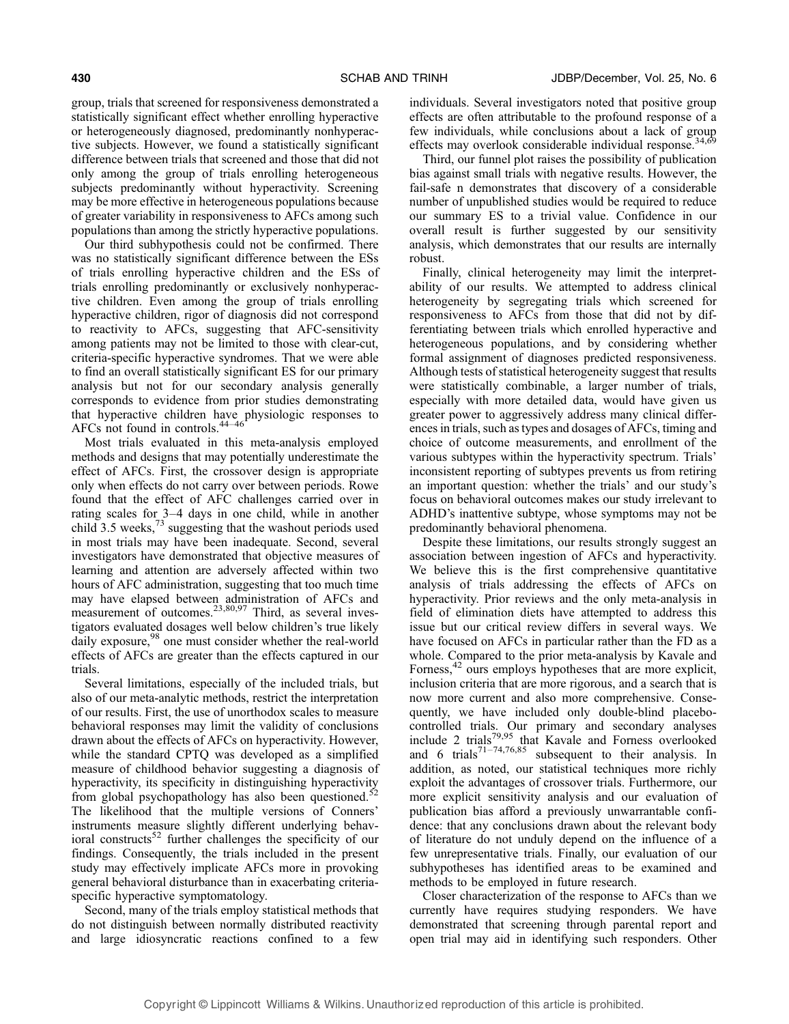group, trials that screened for responsiveness demonstrated a statistically significant effect whether enrolling hyperactive or heterogeneously diagnosed, predominantly nonhyperactive subjects. However, we found a statistically significant difference between trials that screened and those that did not only among the group of trials enrolling heterogeneous subjects predominantly without hyperactivity. Screening may be more effective in heterogeneous populations because of greater variability in responsiveness to AFCs among such populations than among the strictly hyperactive populations.

Our third subhypothesis could not be confirmed. There was no statistically significant difference between the ESs of trials enrolling hyperactive children and the ESs of trials enrolling predominantly or exclusively nonhyperactive children. Even among the group of trials enrolling hyperactive children, rigor of diagnosis did not correspond to reactivity to AFCs, suggesting that AFC-sensitivity among patients may not be limited to those with clear-cut, criteria-specific hyperactive syndromes. That we were able to find an overall statistically significant ES for our primary analysis but not for our secondary analysis generally corresponds to evidence from prior studies demonstrating that hyperactive children have physiologic responses to AFCs not found in controls. $44-46$ 

Most trials evaluated in this meta-analysis employed methods and designs that may potentially underestimate the effect of AFCs. First, the crossover design is appropriate only when effects do not carry over between periods. Rowe found that the effect of AFC challenges carried over in rating scales for 3–4 days in one child, while in another child  $3.5$  weeks,<sup>73</sup> suggesting that the washout periods used in most trials may have been inadequate. Second, several investigators have demonstrated that objective measures of learning and attention are adversely affected within two hours of AFC administration, suggesting that too much time may have elapsed between administration of AFCs and measurement of outcomes.<sup>23,80,97</sup> Third, as several investigators evaluated dosages well below children's true likely daily exposure,<sup>98</sup> one must consider whether the real-world effects of AFCs are greater than the effects captured in our trials.

Several limitations, especially of the included trials, but also of our meta-analytic methods, restrict the interpretation of our results. First, the use of unorthodox scales to measure behavioral responses may limit the validity of conclusions drawn about the effects of AFCs on hyperactivity. However, while the standard CPTQ was developed as a simplified measure of childhood behavior suggesting a diagnosis of hyperactivity, its specificity in distinguishing hyperactivity from global psychopathology has also been questioned.<sup>52</sup> The likelihood that the multiple versions of Conners' instruments measure slightly different underlying behavioral constructs<sup>52</sup> further challenges the specificity of our findings. Consequently, the trials included in the present study may effectively implicate AFCs more in provoking general behavioral disturbance than in exacerbating criteriaspecific hyperactive symptomatology.

Second, many of the trials employ statistical methods that do not distinguish between normally distributed reactivity and large idiosyncratic reactions confined to a few

individuals. Several investigators noted that positive group effects are often attributable to the profound response of a few individuals, while conclusions about a lack of group effects may overlook considerable individual response.<sup>34,69</sup>

Third, our funnel plot raises the possibility of publication bias against small trials with negative results. However, the fail-safe n demonstrates that discovery of a considerable number of unpublished studies would be required to reduce our summary ES to a trivial value. Confidence in our overall result is further suggested by our sensitivity analysis, which demonstrates that our results are internally robust.

Finally, clinical heterogeneity may limit the interpretability of our results. We attempted to address clinical heterogeneity by segregating trials which screened for responsiveness to AFCs from those that did not by differentiating between trials which enrolled hyperactive and heterogeneous populations, and by considering whether formal assignment of diagnoses predicted responsiveness. Although tests of statistical heterogeneity suggest that results were statistically combinable, a larger number of trials, especially with more detailed data, would have given us greater power to aggressively address many clinical differences in trials, such as types and dosages of AFCs, timing and choice of outcome measurements, and enrollment of the various subtypes within the hyperactivity spectrum. Trials' inconsistent reporting of subtypes prevents us from retiring an important question: whether the trials' and our study's focus on behavioral outcomes makes our study irrelevant to ADHD's inattentive subtype, whose symptoms may not be predominantly behavioral phenomena.

Despite these limitations, our results strongly suggest an association between ingestion of AFCs and hyperactivity. We believe this is the first comprehensive quantitative analysis of trials addressing the effects of AFCs on hyperactivity. Prior reviews and the only meta-analysis in field of elimination diets have attempted to address this issue but our critical review differs in several ways. We have focused on AFCs in particular rather than the FD as a whole. Compared to the prior meta-analysis by Kavale and Forness,<sup>42</sup> ours employs hypotheses that are more explicit, inclusion criteria that are more rigorous, and a search that is now more current and also more comprehensive. Consequently, we have included only double-blind placebocontrolled trials. Our primary and secondary analyses include 2 trials79,95 that Kavale and Forness overlooked and 6 trials<sup>71–74,76,85</sup> subsequent to their analysis. In addition, as noted, our statistical techniques more richly exploit the advantages of crossover trials. Furthermore, our more explicit sensitivity analysis and our evaluation of publication bias afford a previously unwarrantable confidence: that any conclusions drawn about the relevant body of literature do not unduly depend on the influence of a few unrepresentative trials. Finally, our evaluation of our subhypotheses has identified areas to be examined and methods to be employed in future research.

Closer characterization of the response to AFCs than we currently have requires studying responders. We have demonstrated that screening through parental report and open trial may aid in identifying such responders. Other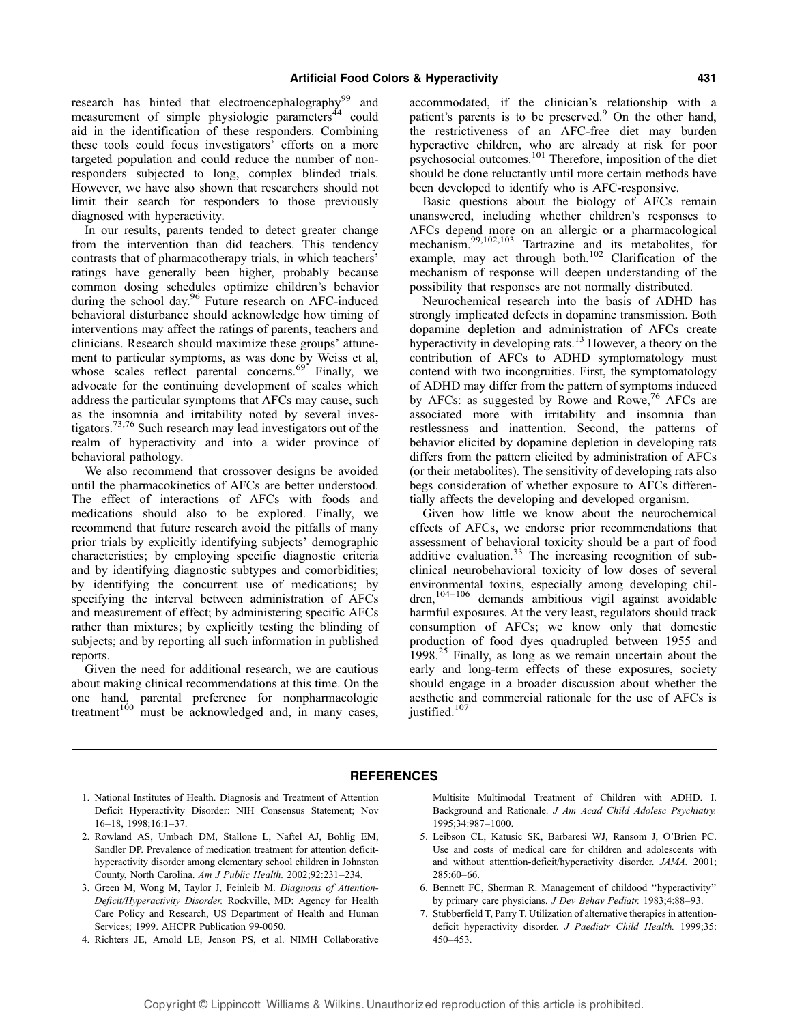research has hinted that electroencephalography<sup>99</sup> and measurement of simple physiologic parameters<sup>44</sup> could aid in the identification of these responders. Combining these tools could focus investigators' efforts on a more targeted population and could reduce the number of nonresponders subjected to long, complex blinded trials. However, we have also shown that researchers should not limit their search for responders to those previously diagnosed with hyperactivity.

In our results, parents tended to detect greater change from the intervention than did teachers. This tendency contrasts that of pharmacotherapy trials, in which teachers' ratings have generally been higher, probably because common dosing schedules optimize children's behavior during the school day.<sup>96</sup> Future research on AFC-induced behavioral disturbance should acknowledge how timing of interventions may affect the ratings of parents, teachers and clinicians. Research should maximize these groups' attunement to particular symptoms, as was done by Weiss et al, whose scales reflect parental concerns.<sup>69</sup> Finally, we advocate for the continuing development of scales which address the particular symptoms that AFCs may cause, such as the insomnia and irritability noted by several investigators.73,76 Such research may lead investigators out of the realm of hyperactivity and into a wider province of behavioral pathology.

We also recommend that crossover designs be avoided until the pharmacokinetics of AFCs are better understood. The effect of interactions of AFCs with foods and medications should also to be explored. Finally, we recommend that future research avoid the pitfalls of many prior trials by explicitly identifying subjects' demographic characteristics; by employing specific diagnostic criteria and by identifying diagnostic subtypes and comorbidities; by identifying the concurrent use of medications; by specifying the interval between administration of AFCs and measurement of effect; by administering specific AFCs rather than mixtures; by explicitly testing the blinding of subjects; and by reporting all such information in published reports.

Given the need for additional research, we are cautious about making clinical recommendations at this time. On the one hand, parental preference for nonpharmacologic treatment<sup>100</sup> must be acknowledged and, in many cases,

accommodated, if the clinician's relationship with a patient's parents is to be preserved.<sup>9</sup> On the other hand, the restrictiveness of an AFC-free diet may burden hyperactive children, who are already at risk for poor psychosocial outcomes.101 Therefore, imposition of the diet should be done reluctantly until more certain methods have been developed to identify who is AFC-responsive.

Basic questions about the biology of AFCs remain unanswered, including whether children's responses to AFCs depend more on an allergic or a pharmacological mechanism.99,102,103 Tartrazine and its metabolites, for example, may act through both.<sup>102</sup> Clarification of the mechanism of response will deepen understanding of the possibility that responses are not normally distributed.

Neurochemical research into the basis of ADHD has strongly implicated defects in dopamine transmission. Both dopamine depletion and administration of AFCs create hyperactivity in developing rats.<sup>13</sup> However, a theory on the contribution of AFCs to ADHD symptomatology must contend with two incongruities. First, the symptomatology of ADHD may differ from the pattern of symptoms induced by AFCs: as suggested by Rowe and Rowe,  $76$  AFCs are associated more with irritability and insomnia than restlessness and inattention. Second, the patterns of behavior elicited by dopamine depletion in developing rats differs from the pattern elicited by administration of AFCs (or their metabolites). The sensitivity of developing rats also begs consideration of whether exposure to AFCs differentially affects the developing and developed organism.

Given how little we know about the neurochemical effects of AFCs, we endorse prior recommendations that assessment of behavioral toxicity should be a part of food additive evaluation. $33$  The increasing recognition of subclinical neurobehavioral toxicity of low doses of several environmental toxins, especially among developing chil $dren$ ,<sup>104–106</sup> demands ambitious vigil against avoidable harmful exposures. At the very least, regulators should track consumption of AFCs; we know only that domestic production of food dyes quadrupled between 1955 and 1998.<sup>25</sup> Finally, as long as we remain uncertain about the early and long-term effects of these exposures, society should engage in a broader discussion about whether the aesthetic and commercial rationale for the use of AFCs is justified.<sup>107</sup>

#### **REFERENCES**

- 1. National Institutes of Health. Diagnosis and Treatment of Attention Deficit Hyperactivity Disorder: NIH Consensus Statement; Nov 16–18, 1998;16:1–37.
- 2. Rowland AS, Umbach DM, Stallone L, Naftel AJ, Bohlig EM, Sandler DP. Prevalence of medication treatment for attention deficithyperactivity disorder among elementary school children in Johnston County, North Carolina. Am J Public Health. 2002;92:231–234.
- 3. Green M, Wong M, Taylor J, Feinleib M. Diagnosis of Attention-Deficit/Hyperactivity Disorder. Rockville, MD: Agency for Health Care Policy and Research, US Department of Health and Human Services; 1999. AHCPR Publication 99-0050.
- 4. Richters JE, Arnold LE, Jenson PS, et al. NIMH Collaborative

Multisite Multimodal Treatment of Children with ADHD. I. Background and Rationale. J Am Acad Child Adolesc Psychiatry. 1995;34:987–1000.

- 5. Leibson CL, Katusic SK, Barbaresi WJ, Ransom J, O'Brien PC. Use and costs of medical care for children and adolescents with and without attenttion-deficit/hyperactivity disorder. JAMA. 2001; 285:60–66.
- 6. Bennett FC, Sherman R. Management of childood ''hyperactivity'' by primary care physicians. J Dev Behav Pediatr. 1983;4:88–93.
- 7. Stubberfield T, Parry T. Utilization of alternative therapies in attentiondeficit hyperactivity disorder. J Paediatr Child Health. 1999;35: 450–453.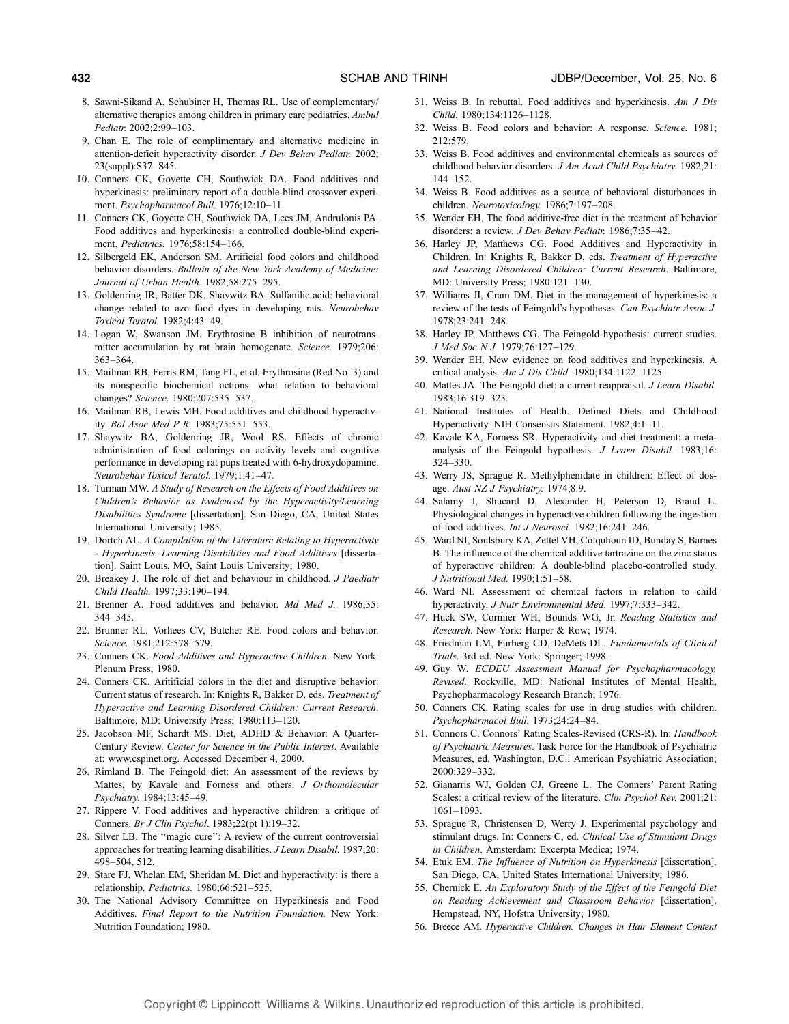- 8. Sawni-Sikand A, Schubiner H, Thomas RL. Use of complementary/ alternative therapies among children in primary care pediatrics. Ambul Pediatr. 2002;2:99–103.
- 9. Chan E. The role of complimentary and alternative medicine in attention-deficit hyperactivity disorder. J Dev Behav Pediatr. 2002; 23(suppl):S37–S45.
- 10. Conners CK, Goyette CH, Southwick DA. Food additives and hyperkinesis: preliminary report of a double-blind crossover experiment. Psychopharmacol Bull. 1976;12:10–11.
- 11. Conners CK, Goyette CH, Southwick DA, Lees JM, Andrulonis PA. Food additives and hyperkinesis: a controlled double-blind experiment. Pediatrics. 1976;58:154–166.
- 12. Silbergeld EK, Anderson SM. Artificial food colors and childhood behavior disorders. Bulletin of the New York Academy of Medicine: Journal of Urban Health. 1982;58:275–295.
- 13. Goldenring JR, Batter DK, Shaywitz BA. Sulfanilic acid: behavioral change related to azo food dyes in developing rats. Neurobehav Toxicol Teratol. 1982;4:43–49.
- 14. Logan W, Swanson JM. Erythrosine B inhibition of neurotransmitter accumulation by rat brain homogenate. Science. 1979;206: 363–364.
- 15. Mailman RB, Ferris RM, Tang FL, et al. Erythrosine (Red No. 3) and its nonspecific biochemical actions: what relation to behavioral changes? Science. 1980;207:535–537.
- 16. Mailman RB, Lewis MH. Food additives and childhood hyperactivity. Bol Asoc Med P R. 1983;75:551–553.
- 17. Shaywitz BA, Goldenring JR, Wool RS. Effects of chronic administration of food colorings on activity levels and cognitive performance in developing rat pups treated with 6-hydroxydopamine. Neurobehav Toxicol Teratol. 1979;1:41–47.
- 18. Turman MW. A Study of Research on the Effects of Food Additives on Children's Behavior as Evidenced by the Hyperactivity/Learning Disabilities Syndrome [dissertation]. San Diego, CA, United States International University; 1985.
- 19. Dortch AL. A Compilation of the Literature Relating to Hyperactivity - Hyperkinesis, Learning Disabilities and Food Additives [dissertation]. Saint Louis, MO, Saint Louis University; 1980.
- 20. Breakey J. The role of diet and behaviour in childhood. J Paediatr Child Health. 1997;33:190–194.
- 21. Brenner A. Food additives and behavior. Md Med J. 1986;35: 344–345.
- 22. Brunner RL, Vorhees CV, Butcher RE. Food colors and behavior. Science. 1981;212:578–579.
- 23. Conners CK. Food Additives and Hyperactive Children. New York: Plenum Press; 1980.
- 24. Conners CK. Aritificial colors in the diet and disruptive behavior: Current status of research. In: Knights R, Bakker D, eds. Treatment of Hyperactive and Learning Disordered Children: Current Research. Baltimore, MD: University Press; 1980:113–120.
- 25. Jacobson MF, Schardt MS. Diet, ADHD & Behavior: A Quarter-Century Review. Center for Science in the Public Interest. Available at: www.cspinet.org. Accessed December 4, 2000.
- 26. Rimland B. The Feingold diet: An assessment of the reviews by Mattes, by Kavale and Forness and others. J Orthomolecular Psychiatry. 1984;13:45–49.
- 27. Rippere V. Food additives and hyperactive children: a critique of Conners. Br J Clin Psychol. 1983;22(pt 1):19–32.
- 28. Silver LB. The ''magic cure'': A review of the current controversial approaches for treating learning disabilities. J Learn Disabil. 1987;20: 498–504, 512.
- 29. Stare FJ, Whelan EM, Sheridan M. Diet and hyperactivity: is there a relationship. Pediatrics. 1980;66:521–525.
- 30. The National Advisory Committee on Hyperkinesis and Food Additives. Final Report to the Nutrition Foundation. New York: Nutrition Foundation; 1980.
- 31. Weiss B. In rebuttal. Food additives and hyperkinesis. Am J Dis Child. 1980;134:1126–1128.
- 32. Weiss B. Food colors and behavior: A response. Science. 1981; 212:579.
- 33. Weiss B. Food additives and environmental chemicals as sources of childhood behavior disorders. J Am Acad Child Psychiatry. 1982;21: 144–152.
- 34. Weiss B. Food additives as a source of behavioral disturbances in children. Neurotoxicology. 1986;7:197–208.
- 35. Wender EH. The food additive-free diet in the treatment of behavior disorders: a review. *J Dev Behav Pediatr*. 1986;7:35-42.
- 36. Harley JP, Matthews CG. Food Additives and Hyperactivity in Children. In: Knights R, Bakker D, eds. Treatment of Hyperactive and Learning Disordered Children: Current Research. Baltimore, MD: University Press; 1980:121–130.
- 37. Williams JI, Cram DM. Diet in the management of hyperkinesis: a review of the tests of Feingold's hypotheses. Can Psychiatr Assoc J. 1978;23:241–248.
- 38. Harley JP, Matthews CG. The Feingold hypothesis: current studies. J Med Soc N J. 1979;76:127–129.
- 39. Wender EH. New evidence on food additives and hyperkinesis. A critical analysis. Am J Dis Child. 1980;134:1122–1125.
- 40. Mattes JA. The Feingold diet: a current reappraisal. J Learn Disabil. 1983;16:319–323.
- 41. National Institutes of Health. Defined Diets and Childhood Hyperactivity. NIH Consensus Statement. 1982;4:1–11.
- 42. Kavale KA, Forness SR. Hyperactivity and diet treatment: a metaanalysis of the Feingold hypothesis. J Learn Disabil. 1983;16: 324–330.
- 43. Werry JS, Sprague R. Methylphenidate in children: Effect of dosage. Aust NZ J Psychiatry. 1974;8:9.
- 44. Salamy J, Shucard D, Alexander H, Peterson D, Braud L. Physiological changes in hyperactive children following the ingestion of food additives. Int J Neurosci. 1982;16:241–246.
- 45. Ward NI, Soulsbury KA, Zettel VH, Colquhoun ID, Bunday S, Barnes B. The influence of the chemical additive tartrazine on the zinc status of hyperactive children: A double-blind placebo-controlled study. J Nutritional Med. 1990;1:51–58.
- 46. Ward NI. Assessment of chemical factors in relation to child hyperactivity. J Nutr Environmental Med. 1997;7:333–342.
- 47. Huck SW, Cormier WH, Bounds WG, Jr. Reading Statistics and Research. New York: Harper & Row; 1974.
- 48. Friedman LM, Furberg CD, DeMets DL. Fundamentals of Clinical Trials. 3rd ed. New York: Springer; 1998.
- 49. Guy W. ECDEU Assessment Manual for Psychopharmacology, Revised. Rockville, MD: National Institutes of Mental Health, Psychopharmacology Research Branch; 1976.
- 50. Conners CK. Rating scales for use in drug studies with children. Psychopharmacol Bull. 1973;24:24–84.
- 51. Connors C. Connors' Rating Scales-Revised (CRS-R). In: Handbook of Psychiatric Measures. Task Force for the Handbook of Psychiatric Measures, ed. Washington, D.C.: American Psychiatric Association; 2000:329–332.
- 52. Gianarris WJ, Golden CJ, Greene L. The Conners' Parent Rating Scales: a critical review of the literature. Clin Psychol Rev. 2001;21: 1061–1093.
- 53. Sprague R, Christensen D, Werry J. Experimental psychology and stimulant drugs. In: Conners C, ed. Clinical Use of Stimulant Drugs in Children. Amsterdam: Excerpta Medica; 1974.
- 54. Etuk EM. The Influence of Nutrition on Hyperkinesis [dissertation]. San Diego, CA, United States International University; 1986.
- 55. Chernick E. An Exploratory Study of the Effect of the Feingold Diet on Reading Achievement and Classroom Behavior [dissertation]. Hempstead, NY, Hofstra University; 1980.
- 56. Breece AM. Hyperactive Children: Changes in Hair Element Content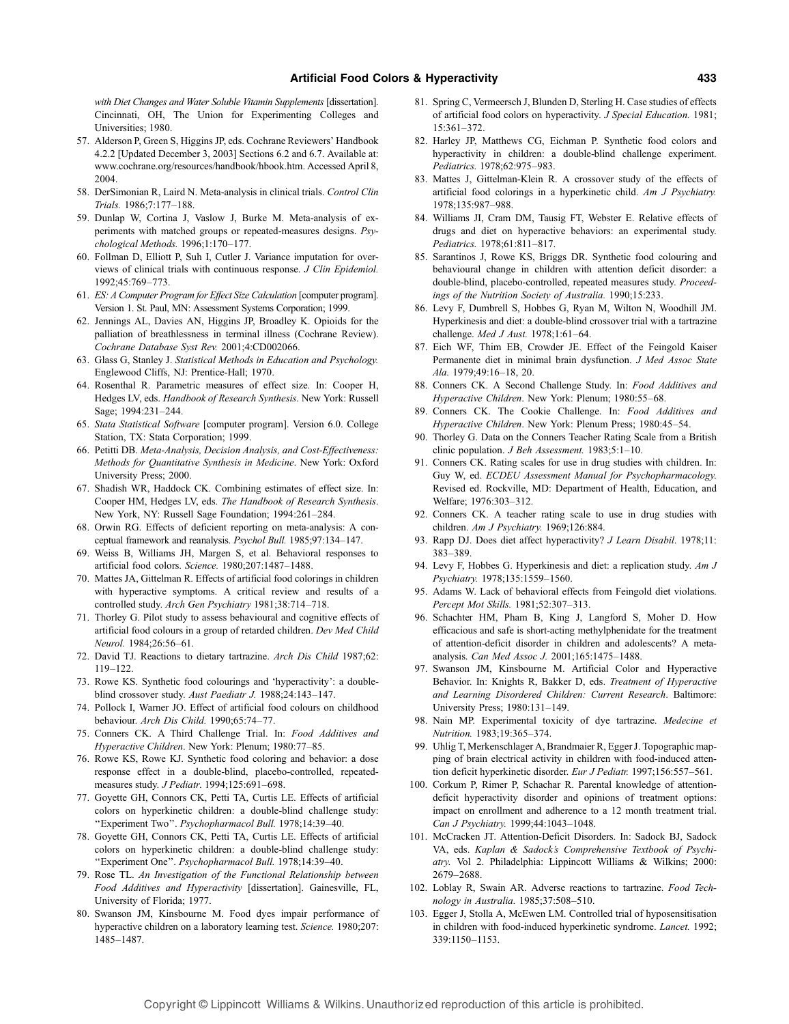with Diet Changes and Water Soluble Vitamin Supplements [dissertation]. Cincinnati, OH, The Union for Experimenting Colleges and Universities; 1980.

- 57. Alderson P, Green S, Higgins JP, eds. Cochrane Reviewers' Handbook 4.2.2 [Updated December 3, 2003] Sections 6.2 and 6.7. Available at: www.cochrane.org/resources/handbook/hbook.htm. Accessed April 8, 2004.
- 58. DerSimonian R, Laird N. Meta-analysis in clinical trials. Control Clin Trials. 1986;7:177–188.
- 59. Dunlap W, Cortina J, Vaslow J, Burke M. Meta-analysis of experiments with matched groups or repeated-measures designs. Psychological Methods. 1996;1:170–177.
- 60. Follman D, Elliott P, Suh I, Cutler J. Variance imputation for overviews of clinical trials with continuous response. J Clin Epidemiol. 1992;45:769–773.
- 61. ES: A Computer Program for Effect Size Calculation [computer program]. Version 1. St. Paul, MN: Assessment Systems Corporation; 1999.
- 62. Jennings AL, Davies AN, Higgins JP, Broadley K. Opioids for the palliation of breathlessness in terminal illness (Cochrane Review). Cochrane Database Syst Rev. 2001;4:CD002066.
- 63. Glass G, Stanley J. Statistical Methods in Education and Psychology. Englewood Cliffs, NJ: Prentice-Hall; 1970.
- 64. Rosenthal R. Parametric measures of effect size. In: Cooper H, Hedges LV, eds. Handbook of Research Synthesis. New York: Russell Sage; 1994:231–244.
- 65. Stata Statistical Software [computer program]. Version 6.0. College Station, TX: Stata Corporation; 1999.
- 66. Petitti DB. Meta-Analysis, Decision Analysis, and Cost-Effectiveness: Methods for Quantitative Synthesis in Medicine. New York: Oxford University Press; 2000.
- 67. Shadish WR, Haddock CK. Combining estimates of effect size. In: Cooper HM, Hedges LV, eds. The Handbook of Research Synthesis. New York, NY: Russell Sage Foundation; 1994:261–284.
- 68. Orwin RG. Effects of deficient reporting on meta-analysis: A conceptual framework and reanalysis. Psychol Bull. 1985;97:134–147.
- 69. Weiss B, Williams JH, Margen S, et al. Behavioral responses to artificial food colors. Science. 1980;207:1487–1488.
- 70. Mattes JA, Gittelman R. Effects of artificial food colorings in children with hyperactive symptoms. A critical review and results of a controlled study. Arch Gen Psychiatry 1981;38:714–718.
- 71. Thorley G. Pilot study to assess behavioural and cognitive effects of artificial food colours in a group of retarded children. Dev Med Child Neurol. 1984;26:56–61.
- 72. David TJ. Reactions to dietary tartrazine. Arch Dis Child 1987;62: 119–122.
- 73. Rowe KS. Synthetic food colourings and 'hyperactivity': a doubleblind crossover study. Aust Paediatr J. 1988;24:143–147.
- 74. Pollock I, Warner JO. Effect of artificial food colours on childhood behaviour. Arch Dis Child. 1990;65:74–77.
- 75. Conners CK. A Third Challenge Trial. In: Food Additives and Hyperactive Children. New York: Plenum; 1980:77–85.
- 76. Rowe KS, Rowe KJ. Synthetic food coloring and behavior: a dose response effect in a double-blind, placebo-controlled, repeatedmeasures study. J Pediatr. 1994;125:691–698.
- 77. Goyette GH, Connors CK, Petti TA, Curtis LE. Effects of artificial colors on hyperkinetic children: a double-blind challenge study: ''Experiment Two''. Psychopharmacol Bull. 1978;14:39–40.
- 78. Goyette GH, Connors CK, Petti TA, Curtis LE. Effects of artificial colors on hyperkinetic children: a double-blind challenge study: ''Experiment One''. Psychopharmacol Bull. 1978;14:39–40.
- 79. Rose TL. An Investigation of the Functional Relationship between Food Additives and Hyperactivity [dissertation]. Gainesville, FL, University of Florida; 1977.
- 80. Swanson JM, Kinsbourne M. Food dyes impair performance of hyperactive children on a laboratory learning test. Science. 1980;207: 1485–1487.
- 81. Spring C, Vermeersch J, Blunden D, Sterling H. Case studies of effects of artificial food colors on hyperactivity. J Special Education. 1981; 15:361–372.
- 82. Harley JP, Matthews CG, Eichman P. Synthetic food colors and hyperactivity in children: a double-blind challenge experiment. Pediatrics. 1978;62:975–983.
- 83. Mattes J, Gittelman-Klein R. A crossover study of the effects of artificial food colorings in a hyperkinetic child. Am J Psychiatry. 1978;135:987–988.
- 84. Williams JI, Cram DM, Tausig FT, Webster E. Relative effects of drugs and diet on hyperactive behaviors: an experimental study. Pediatrics. 1978;61:811–817.
- 85. Sarantinos J, Rowe KS, Briggs DR. Synthetic food colouring and behavioural change in children with attention deficit disorder: a double-blind, placebo-controlled, repeated measures study. Proceedings of the Nutrition Society of Australia. 1990;15:233.
- 86. Levy F, Dumbrell S, Hobbes G, Ryan M, Wilton N, Woodhill JM. Hyperkinesis and diet: a double-blind crossover trial with a tartrazine challenge. Med J Aust. 1978;1:61-64.
- 87. Eich WF, Thim EB, Crowder JE. Effect of the Feingold Kaiser Permanente diet in minimal brain dysfunction. J Med Assoc State Ala. 1979;49:16–18, 20.
- 88. Conners CK. A Second Challenge Study. In: Food Additives and Hyperactive Children. New York: Plenum; 1980:55–68.
- 89. Conners CK. The Cookie Challenge. In: Food Additives and Hyperactive Children. New York: Plenum Press; 1980:45–54.
- 90. Thorley G. Data on the Conners Teacher Rating Scale from a British clinic population. *J Beh Assessment*. 1983;5:1-10.
- 91. Conners CK. Rating scales for use in drug studies with children. In: Guy W, ed. ECDEU Assessment Manual for Psychopharmacology. Revised ed. Rockville, MD: Department of Health, Education, and Welfare; 1976:303–312.
- 92. Conners CK. A teacher rating scale to use in drug studies with children. Am J Psychiatry. 1969;126:884.
- 93. Rapp DJ. Does diet affect hyperactivity? J Learn Disabil. 1978;11: 383–389.
- 94. Levy F, Hobbes G. Hyperkinesis and diet: a replication study. Am J Psychiatry. 1978;135:1559–1560.
- 95. Adams W. Lack of behavioral effects from Feingold diet violations. Percept Mot Skills. 1981;52:307–313.
- 96. Schachter HM, Pham B, King J, Langford S, Moher D. How efficacious and safe is short-acting methylphenidate for the treatment of attention-deficit disorder in children and adolescents? A metaanalysis. Can Med Assoc J. 2001;165:1475–1488.
- 97. Swanson JM, Kinsbourne M. Artificial Color and Hyperactive Behavior. In: Knights R, Bakker D, eds. Treatment of Hyperactive and Learning Disordered Children: Current Research. Baltimore: University Press; 1980:131–149.
- 98. Nain MP. Experimental toxicity of dye tartrazine. Medecine et Nutrition. 1983;19:365–374.
- 99. Uhlig T, Merkenschlager A, Brandmaier R, Egger J. Topographic mapping of brain electrical activity in children with food-induced attention deficit hyperkinetic disorder. Eur J Pediatr. 1997;156:557–561.
- 100. Corkum P, Rimer P, Schachar R. Parental knowledge of attentiondeficit hyperactivity disorder and opinions of treatment options: impact on enrollment and adherence to a 12 month treatment trial. Can J Psychiatry. 1999;44:1043–1048.
- 101. McCracken JT. Attention-Deficit Disorders. In: Sadock BJ, Sadock VA, eds. Kaplan & Sadock's Comprehensive Textbook of Psychiatry. Vol 2. Philadelphia: Lippincott Williams & Wilkins; 2000: 2679–2688.
- 102. Loblay R, Swain AR. Adverse reactions to tartrazine. Food Technology in Australia. 1985;37:508–510.
- 103. Egger J, Stolla A, McEwen LM. Controlled trial of hyposensitisation in children with food-induced hyperkinetic syndrome. Lancet. 1992; 339:1150–1153.